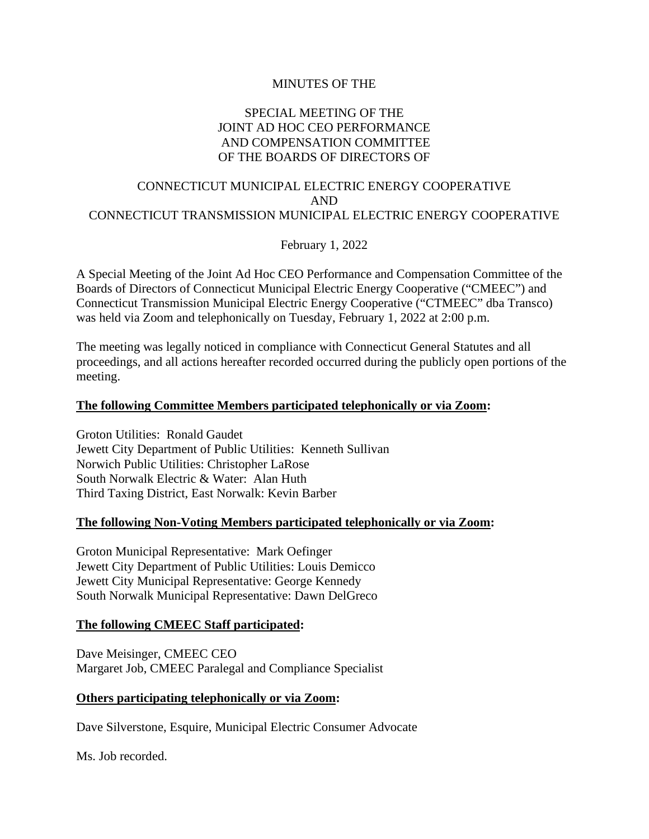### MINUTES OF THE

# SPECIAL MEETING OF THE JOINT AD HOC CEO PERFORMANCE AND COMPENSATION COMMITTEE OF THE BOARDS OF DIRECTORS OF

### CONNECTICUT MUNICIPAL ELECTRIC ENERGY COOPERATIVE AND CONNECTICUT TRANSMISSION MUNICIPAL ELECTRIC ENERGY COOPERATIVE

February 1, 2022

A Special Meeting of the Joint Ad Hoc CEO Performance and Compensation Committee of the Boards of Directors of Connecticut Municipal Electric Energy Cooperative ("CMEEC") and Connecticut Transmission Municipal Electric Energy Cooperative ("CTMEEC" dba Transco) was held via Zoom and telephonically on Tuesday, February 1, 2022 at 2:00 p.m.

The meeting was legally noticed in compliance with Connecticut General Statutes and all proceedings, and all actions hereafter recorded occurred during the publicly open portions of the meeting.

### **The following Committee Members participated telephonically or via Zoom:**

Groton Utilities: Ronald Gaudet Jewett City Department of Public Utilities: Kenneth Sullivan Norwich Public Utilities: Christopher LaRose South Norwalk Electric & Water: Alan Huth Third Taxing District, East Norwalk: Kevin Barber

#### **The following Non-Voting Members participated telephonically or via Zoom:**

Groton Municipal Representative: Mark Oefinger Jewett City Department of Public Utilities: Louis Demicco Jewett City Municipal Representative: George Kennedy South Norwalk Municipal Representative: Dawn DelGreco

### **The following CMEEC Staff participated:**

Dave Meisinger, CMEEC CEO Margaret Job, CMEEC Paralegal and Compliance Specialist

#### **Others participating telephonically or via Zoom:**

Dave Silverstone, Esquire, Municipal Electric Consumer Advocate

Ms. Job recorded.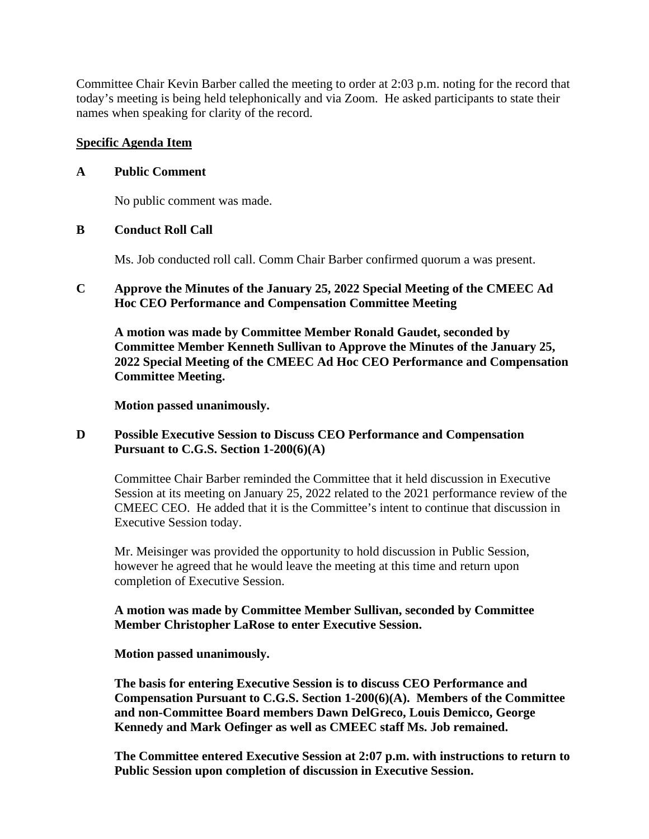Committee Chair Kevin Barber called the meeting to order at 2:03 p.m. noting for the record that today's meeting is being held telephonically and via Zoom. He asked participants to state their names when speaking for clarity of the record.

# **Specific Agenda Item**

### **A Public Comment**

No public comment was made.

# **B Conduct Roll Call**

Ms. Job conducted roll call. Comm Chair Barber confirmed quorum a was present.

# **C Approve the Minutes of the January 25, 2022 Special Meeting of the CMEEC Ad Hoc CEO Performance and Compensation Committee Meeting**

**A motion was made by Committee Member Ronald Gaudet, seconded by Committee Member Kenneth Sullivan to Approve the Minutes of the January 25, 2022 Special Meeting of the CMEEC Ad Hoc CEO Performance and Compensation Committee Meeting.**

**Motion passed unanimously.**

# **D Possible Executive Session to Discuss CEO Performance and Compensation Pursuant to C.G.S. Section 1-200(6)(A)**

Committee Chair Barber reminded the Committee that it held discussion in Executive Session at its meeting on January 25, 2022 related to the 2021 performance review of the CMEEC CEO. He added that it is the Committee's intent to continue that discussion in Executive Session today.

Mr. Meisinger was provided the opportunity to hold discussion in Public Session, however he agreed that he would leave the meeting at this time and return upon completion of Executive Session.

# **A motion was made by Committee Member Sullivan, seconded by Committee Member Christopher LaRose to enter Executive Session.**

**Motion passed unanimously.**

**The basis for entering Executive Session is to discuss CEO Performance and Compensation Pursuant to C.G.S. Section 1-200(6)(A). Members of the Committee and non-Committee Board members Dawn DelGreco, Louis Demicco, George Kennedy and Mark Oefinger as well as CMEEC staff Ms. Job remained.**

**The Committee entered Executive Session at 2:07 p.m. with instructions to return to Public Session upon completion of discussion in Executive Session.**